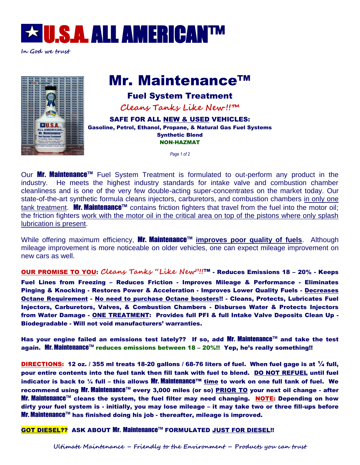

**In God we trust**

# Mr. Maintenance™

## Fuel System Treatment

**Cleans Tanks Like New !!™**

SAFE FOR ALL NEW & USED VEHICLES: Gasoline, Petrol, Ethanol, Propane, & Natural Gas Fuel Systems Synthetic Blend NON-HAZMAT

*Page 1 of 2*

Our Mr. Maintenance<sup>™</sup> Fuel System Treatment is formulated to out-perform any product in the industry. He meets the highest industry standards for intake valve and combustion chamber cleanliness and is one of the very few double-acting super-concentrates on the market today. Our state-of-the-art synthetic formula cleans injectors, carburetors, and combustion chambers in only one tank treatment. **Mr. Maintenance**™ contains friction fighters that travel from the fuel into the motor oil; the friction fighters work with the motor oil in the critical area on top of the pistons where only splash lubrication is present.

While offering maximum efficiency, **Mr. Maintenance™ improves poor quality of fuels**. Although mileage improvement is more noticeable on older vehicles, one can expect mileage improvement on new cars as well.

OUR PROMISE TO YOU: **Cleans Tanks "Like New"!!**™ - Reduces Emissions 18 – 20% - Keeps Fuel Lines from Freezing – Reduces Friction - Improves Mileage & Performance - Eliminates Pinging & Knocking - Restores Power & Acceleration - Improves Lower Quality Fuels - Decreases Octane Requirement - No need to purchase Octane boosters!! - Cleans, Protects, Lubricates Fuel Injectors, Carburetors, Valves, & Combustion Chambers - Disburses Water & Protects Injectors from Water Damage - ONE TREATMENT: Provides full PFI & full Intake Valve Deposits Clean Up - Biodegradable - Will not void manufacturers' warranties.

Has your engine failed an emissions test lately?? If so, add Mr. Maintenance™ and take the test again. Mr. Maintenance™ reduces emissions between 18 – 20%!! Yep, he's really something!!

DIRECTIONS: 12 oz. / 355 ml treats 18-20 gallons / 68-76 liters of fuel. When fuel gage is at  $\frac{1}{4}$  full, pour entire contents into the fuel tank then fill tank with fuel to blend. DO NOT REFUEL until fuel indicator is back to ¼ full – this allows Mr. Maintenance™ time to work on one full tank of fuel. We recommend using Mr. Maintenance™ every 3,000 miles (or so) PRIOR TO your next oil change - after Mr. Maintenance™ cleans the system, the fuel filter may need changing. NOTE: Depending on how dirty your fuel system is - initially, you may lose mileage – it may take two or three fill-ups before Mr. Maintenance™ has finished doing his job - thereafter, mileage is improved.

GOT DIESEL?? ASK ABOUT Mr. Maintenance™ FORMULATED JUST FOR DIESEL!!